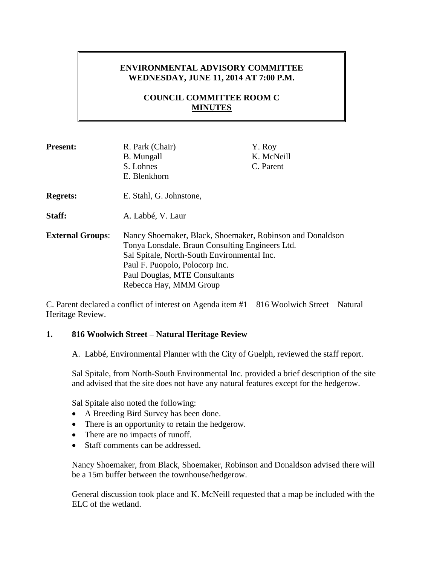# **ENVIRONMENTAL ADVISORY COMMITTEE WEDNESDAY, JUNE 11, 2014 AT 7:00 P.M.**

# **COUNCIL COMMITTEE ROOM C MINUTES**

| <b>Present:</b>         | R. Park (Chair)<br><b>B.</b> Mungall<br>S. Lohnes<br>E. Blenkhorn                                                                                                                                                                                        | Y. Roy<br>K. McNeill<br>C. Parent |
|-------------------------|----------------------------------------------------------------------------------------------------------------------------------------------------------------------------------------------------------------------------------------------------------|-----------------------------------|
| <b>Regrets:</b>         | E. Stahl, G. Johnstone,                                                                                                                                                                                                                                  |                                   |
| Staff:                  | A. Labbé, V. Laur                                                                                                                                                                                                                                        |                                   |
| <b>External Groups:</b> | Nancy Shoemaker, Black, Shoemaker, Robinson and Donaldson<br>Tonya Lonsdale. Braun Consulting Engineers Ltd.<br>Sal Spitale, North-South Environmental Inc.<br>Paul F. Puopolo, Polocorp Inc.<br>Paul Douglas, MTE Consultants<br>Rebecca Hay, MMM Group |                                   |

C. Parent declared a conflict of interest on Agenda item #1 – 816 Woolwich Street – Natural Heritage Review.

# **1. 816 Woolwich Street – Natural Heritage Review**

A. Labbé, Environmental Planner with the City of Guelph, reviewed the staff report.

Sal Spitale, from North-South Environmental Inc. provided a brief description of the site and advised that the site does not have any natural features except for the hedgerow.

Sal Spitale also noted the following:

- A Breeding Bird Survey has been done.
- There is an opportunity to retain the hedgerow.
- There are no impacts of runoff.
- Staff comments can be addressed.

Nancy Shoemaker, from Black, Shoemaker, Robinson and Donaldson advised there will be a 15m buffer between the townhouse/hedgerow.

General discussion took place and K. McNeill requested that a map be included with the ELC of the wetland.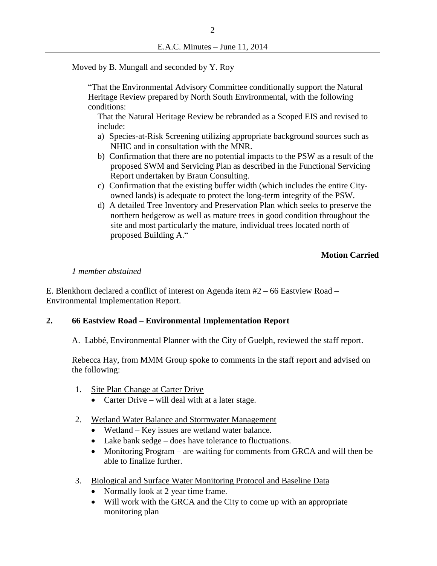Moved by B. Mungall and seconded by Y. Roy

"That the Environmental Advisory Committee conditionally support the Natural Heritage Review prepared by North South Environmental, with the following conditions:

That the Natural Heritage Review be rebranded as a Scoped EIS and revised to include:

- a) Species-at-Risk Screening utilizing appropriate background sources such as NHIC and in consultation with the MNR.
- b) Confirmation that there are no potential impacts to the PSW as a result of the proposed SWM and Servicing Plan as described in the Functional Servicing Report undertaken by Braun Consulting.
- c) Confirmation that the existing buffer width (which includes the entire Cityowned lands) is adequate to protect the long-term integrity of the PSW.
- d) A detailed Tree Inventory and Preservation Plan which seeks to preserve the northern hedgerow as well as mature trees in good condition throughout the site and most particularly the mature, individual trees located north of proposed Building A."

# **Motion Carried**

### *1 member abstained*

E. Blenkhorn declared a conflict of interest on Agenda item #2 – 66 Eastview Road – Environmental Implementation Report.

### **2. 66 Eastview Road – Environmental Implementation Report**

A. Labbé, Environmental Planner with the City of Guelph, reviewed the staff report.

Rebecca Hay, from MMM Group spoke to comments in the staff report and advised on the following:

- 1. Site Plan Change at Carter Drive
	- Carter Drive will deal with at a later stage.
- 2. Wetland Water Balance and Stormwater Management
	- Wetland Key issues are wetland water balance.
	- Lake bank sedge does have tolerance to fluctuations.
	- Monitoring Program are waiting for comments from GRCA and will then be able to finalize further.
- 3. Biological and Surface Water Monitoring Protocol and Baseline Data
	- Normally look at 2 year time frame.
	- Will work with the GRCA and the City to come up with an appropriate monitoring plan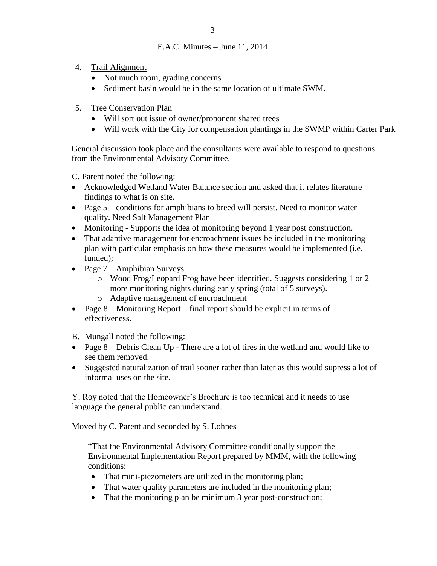- 4. Trail Alignment
	- Not much room, grading concerns
	- Sediment basin would be in the same location of ultimate SWM.
- 5. Tree Conservation Plan
	- Will sort out issue of owner/proponent shared trees
	- Will work with the City for compensation plantings in the SWMP within Carter Park

General discussion took place and the consultants were available to respond to questions from the Environmental Advisory Committee.

C. Parent noted the following:

- Acknowledged Wetland Water Balance section and asked that it relates literature findings to what is on site.
- Page 5 conditions for amphibians to breed will persist. Need to monitor water quality. Need Salt Management Plan
- Monitoring Supports the idea of monitoring beyond 1 year post construction.
- That adaptive management for encroachment issues be included in the monitoring plan with particular emphasis on how these measures would be implemented (i.e. funded);
- Page  $7 -$  Amphibian Surveys
	- o Wood Frog/Leopard Frog have been identified. Suggests considering 1 or 2 more monitoring nights during early spring (total of 5 surveys).
	- o Adaptive management of encroachment
- Page 8 Monitoring Report final report should be explicit in terms of effectiveness.
- B. Mungall noted the following:
- Page 8 Debris Clean Up There are a lot of tires in the wetland and would like to see them removed.
- Suggested naturalization of trail sooner rather than later as this would supress a lot of informal uses on the site.

Y. Roy noted that the Homeowner's Brochure is too technical and it needs to use language the general public can understand.

Moved by C. Parent and seconded by S. Lohnes

"That the Environmental Advisory Committee conditionally support the Environmental Implementation Report prepared by MMM, with the following conditions:

- That mini-piezometers are utilized in the monitoring plan;
- That water quality parameters are included in the monitoring plan;
- That the monitoring plan be minimum 3 year post-construction;